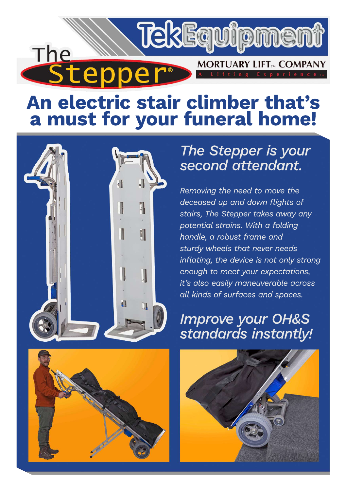

# An electric stair climber that's a must for your funeral home!





### The Stepper is your second attendant.

Removing the need to move the deceased up and down fliahts of stairs, The Stepper takes away any potential strains. With a folding handle, a robust frame and sturdy wheels that never needs inflating, the device is not only strong enough to meet your expectations, it's also easily maneuverable across all kinds of surfaces and spaces.

### **Improve your OH&S** standards instantly!